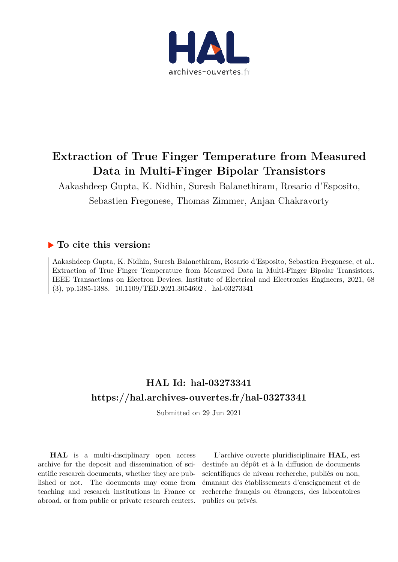

## **Extraction of True Finger Temperature from Measured Data in Multi-Finger Bipolar Transistors**

Aakashdeep Gupta, K. Nidhin, Suresh Balanethiram, Rosario d'Esposito, Sebastien Fregonese, Thomas Zimmer, Anjan Chakravorty

### **To cite this version:**

Aakashdeep Gupta, K. Nidhin, Suresh Balanethiram, Rosario d'Esposito, Sebastien Fregonese, et al.. Extraction of True Finger Temperature from Measured Data in Multi-Finger Bipolar Transistors. IEEE Transactions on Electron Devices, Institute of Electrical and Electronics Engineers, 2021, 68 (3), pp.1385-1388. 10.1109/TED.2021.3054602. hal-03273341

## **HAL Id: hal-03273341 https://hal.archives-ouvertes.fr/hal-03273341**

Submitted on 29 Jun 2021

**HAL** is a multi-disciplinary open access archive for the deposit and dissemination of scientific research documents, whether they are published or not. The documents may come from teaching and research institutions in France or abroad, or from public or private research centers.

L'archive ouverte pluridisciplinaire **HAL**, est destinée au dépôt et à la diffusion de documents scientifiques de niveau recherche, publiés ou non, émanant des établissements d'enseignement et de recherche français ou étrangers, des laboratoires publics ou privés.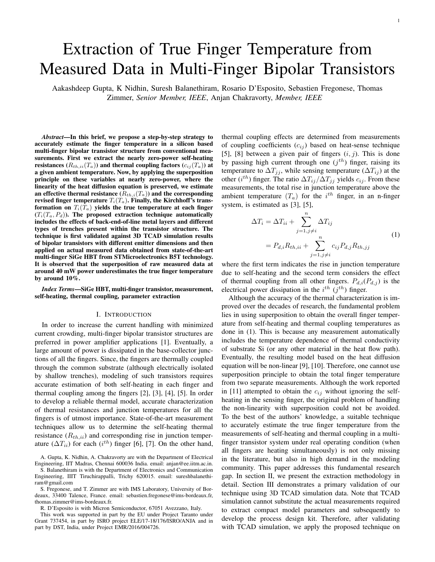# Extraction of True Finger Temperature from Measured Data in Multi-Finger Bipolar Transistors

Aakashdeep Gupta, K Nidhin, Suresh Balanethiram, Rosario D'Esposito, Sebastien Fregonese, Thomas Zimmer, *Senior Member, IEEE*, Anjan Chakravorty, *Member, IEEE*

*Abstract*—In this brief, we propose a step-by-step strategy to accurately estimate the finger temperature in a silicon based multi-finger bipolar transistor structure from conventional measurements. First we extract the nearly zero-power self-heating resistances  $(R_{th,ii}(T_a))$  and thermal coupling factors  $(c_{ij}(T_a))$  at a given ambient temperature. Now, by applying the superposition principle on these variables at nearly zero-power, where the linearity of the heat diffusion equation is preserved, we estimate an effective thermal resistance  $(R_{th,i}(T_a))$  and the corresponding revised finger temperature  $T_i(T_a)$ . Finally, the Kirchhoff's transformation on  $T_i(T_a)$  yields the true temperature at each finger  $(T_i(T_a, P_d))$ . The proposed extraction technique automatically includes the effects of back-end-of-line metal layers and different types of trenches present within the transistor structure. The technique is first validated against 3D TCAD simulation results of bipolar transistors with different emitter dimensions and then applied on actual measured data obtained from state-of-the-art multi-finger SiGe HBT from STMicroelectronics B5T technology. It is observed that the superposition of raw measured data at around 40 mW power underestimates the true finger temperature by around 10%.

*Index Terms*—SiGe HBT, multi-finger transistor, measurement, self-heating, thermal coupling, parameter extraction

#### I. INTRODUCTION

In order to increase the current handling with minimized current crowding, multi-finger bipolar transistor structures are preferred in power amplifier applications [1]. Eventually, a large amount of power is dissipated in the base-collector junctions of all the fingers. Since, the fingers are thermally coupled through the common substrate (although electrically isolated by shallow trenches), modeling of such transistors requires accurate estimation of both self-heating in each finger and thermal coupling among the fingers [2], [3], [4], [5]. In order to develop a reliable thermal model, accurate characterization of thermal resistances and junction temperatures for all the fingers is of utmost importance. State-of-the-art measurement techniques allow us to determine the self-heating thermal resistance  $(R_{th,ii})$  and corresponding rise in junction temperature ( $\Delta T_{ii}$ ) for each (i<sup>th</sup>) finger [6], [7]. On the other hand,

A. Gupta, K. Nidhin, A. Chakravorty are with the Department of Electrical Engineering, IIT Madras, Chennai 600036 India. email: anjan@ee.iitm.ac.in.

S. Balanethiram is with the Department of Electronics and Communication Engineering, IIIT Tiruchirappalli, Trichy 620015. email: sureshbalanethiram@gmail.com

S. Fregonese, and T. Zimmer are with IMS Laboratory, University of Bordeaux, 33400 Talence, France. email: sebastien.fregonese@ims-bordeaux.fr, thomas.zimmer@ims-bordeaux.fr.

R. D'Esposito is with Micron Semiconductor, 67051 Avezzano, Italy.

This work was supported in part by the EU under Project Taranto under Grant 737454, in part by ISRO project ELE/17-18/176/ISRO/ANJA and in part by DST, India, under Project EMR/2016/004726.

thermal coupling effects are determined from measurements of coupling coefficients  $(c_{ij})$  based on heat-sense technique [5], [8] between a given pair of fingers  $(i, j)$ . This is done by passing high current through one  $(j<sup>th</sup>)$  finger, raising its temperature to  $\Delta T_{jj}$ , while sensing temperature ( $\Delta T_{ij}$ ) at the other ( $i^{th}$ ) finger. The ratio  $\Delta T_{ij}/\Delta T_{jj}$  yields  $c_{ij}$ . From these measurements, the total rise in junction temperature above the ambient temperature  $(T_a)$  for the  $i^{th}$  finger, in an n-finger system, is estimated as [3], [5],

$$
\Delta T_i = \Delta T_{ii} + \sum_{j=1, j \neq i}^{n} \Delta T_{ij}
$$
  
=  $P_{d,i}R_{th,ii} + \sum_{j=1, j \neq i}^{n} c_{ij}P_{d,j}R_{th,jj}$  (1)

where the first term indicates the rise in junction temperature due to self-heating and the second term considers the effect of thermal coupling from all other fingers.  $P_{d,i}(P_{d,j})$  is the electrical power dissipation in the  $i^{th}$  ( $j^{th}$ ) finger.

Although the accuracy of the thermal characterization is improved over the decades of research, the fundamental problem lies in using superposition to obtain the overall finger temperature from self-heating and thermal coupling temperatures as done in (1). This is because any measurement automatically includes the temperature dependence of thermal conductivity of substrate Si (or any other material in the heat flow path). Eventually, the resulting model based on the heat diffusion equation will be non-linear [9], [10]. Therefore, one cannot use superposition principle to obtain the total finger temperature from two separate measurements. Although the work reported in [11] attempted to obtain the  $c_{ij}$  without ignoring the selfheating in the sensing finger, the original problem of handling the non-linearity with superposition could not be avoided. To the best of the authors' knowledge, a suitable technique to accurately estimate the true finger temperature from the measurements of self-heating and thermal coupling in a multifinger transistor system under real operating condition (when all fingers are heating simultaneously) is not only missing in the literature, but also in high demand in the modeling community. This paper addresses this fundamental research gap. In section II, we present the extraction methodology in detail. Section III demonstrates a primary validation of our technique using 3D TCAD simulation data. Note that TCAD simulation cannot substitute the actual measurements required to extract compact model parameters and subsequently to develop the process design kit. Therefore, after validating with TCAD simulation, we apply the proposed technique on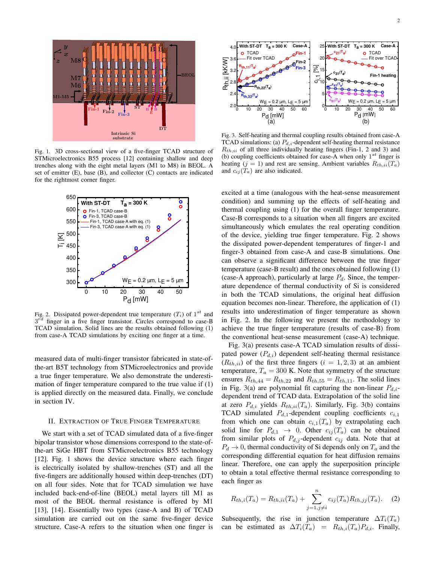

Fig. 1. 3D cross-sectional view of a five-finger TCAD structure of STMicroelectronics B55 process [12] containing shallow and deep trenches along with the eight metal layers (M1 to M8) in BEOL. A set of emitter (E), base (B), and collector (C) contacts are indicated for the rightmost corner finger.



Fig. 2. Dissipated power-dependent true temperature  $(T_i)$  of  $1^{st}$  and  $3^{rd}$  finger in a five finger transistor. Circles correspond to case-B TCAD simulation. Solid lines are the results obtained following (1) from case-A TCAD simulations by exciting one finger at a time.

measured data of multi-finger transistor fabricated in state-ofthe-art B5T technology from STMicroelectronics and provide a true finger temperature. We also demonstrate the underestimation of finger temperature compared to the true value if (1) is applied directly on the measured data. Finally, we conclude in section IV.

#### II. EXTRACTION OF TRUE FINGER TEMPERATURE

We start with a set of TCAD simulated data of a five-finger bipolar transistor whose dimensions correspond to the state-ofthe-art SiGe HBT from STMicroelectronics B55 technology [12]. Fig. 1 shows the device structure where each finger is electrically isolated by shallow-trenches (ST) and all the five-fingers are additionally housed within deep-trenches (DT) on all four sides. Note that for TCAD simulation we have included back-end-of-line (BEOL) metal layers till M1 as most of the BEOL thermal resistance is offered by M1 [13], [14]. Essentially two types (case-A and B) of TCAD simulation are carried out on the same five-finger device structure. Case-A refers to the situation when one finger is



Fig. 3. Self-heating and thermal coupling results obtained from case-A TCAD simulations: (a)  $P_{d,i}$ -dependent self-heating thermal resistance  $R_{th,ii}$  of all three individually heating fingers (Fin-1, 2 and 3) and (b) coupling coefficients obtained for case-A when only  $1^{st}$  finger is heating (j = 1) and rest are sensing. Ambient variables  $R_{th,ii}(T_a)$ and  $c_{ij}(T_a)$  are also indicated.

excited at a time (analogous with the heat-sense measurement condition) and summing up the effects of self-heating and thermal coupling using (1) for the overall finger temperature. Case-B corresponds to a situation when all fingers are excited simultaneously which emulates the real operating condition of the device, yielding true finger temperature. Fig. 2 shows the dissipated power-dependent temperatures of finger-1 and finger-3 obtained from case-A and case-B simulations. One can observe a significant difference between the true finger temperature (case-B result) and the ones obtained following (1) (case-A approach), particularly at large  $P_d$ . Since, the temperature dependence of thermal conductivity of Si is considered in both the TCAD simulations, the original heat diffusion equation becomes non-linear. Therefore, the application of (1) results into underestimation of finger temperature as shown in Fig. 2. In the following we present the methodology to achieve the true finger temperature (results of case-B) from the conventional heat-sense measurement (case-A) technique.

Fig. 3(a) presents case-A TCAD simulation results of dissipated power  $(P_{d,i})$  dependent self-heating thermal resistance  $(R<sub>th,ii</sub>)$  of the first three fingers  $(i = 1, 2, 3)$  at an ambient temperature,  $T_a = 300$  K. Note that symmetry of the structure ensures  $R_{th,44} = R_{th,22}$  and  $R_{th,55} = R_{th,11}$ . The solid lines in Fig. 3(a) are polynomial fit capturing the non-linear  $P_{d,i}$ dependent trend of TCAD data. Extrapolation of the solid line at zero  $P_{d,i}$  yields  $R_{th,ii}(T_a)$ . Similarly, Fig. 3(b) contains TCAD simulated  $P_{d,1}$ -dependent coupling coefficients  $c_{i,1}$ from which one can obtain  $c_{i,1}(T_a)$  by extrapolating each solid line for  $P_{d,1} \rightarrow 0$ . Other  $c_{ij}(T_a)$  can be obtained from similar plots of  $P_{d,j}$ -dependent  $c_{ij}$  data. Note that at  $P_d \rightarrow 0$ , thermal conductivity of Si depends only on  $T_a$  and the corresponding differential equation for heat diffusion remains linear. Therefore, one can apply the superposition principle to obtain a total effective thermal resistance corresponding to each finger as

$$
R_{th,i}(T_a) = R_{th,ii}(T_a) + \sum_{j=1, j \neq i}^{n} c_{ij}(T_a) R_{th,jj}(T_a). \tag{2}
$$

Subsequently, the rise in junction temperature  $\Delta T_i(T_a)$ can be estimated as  $\Delta T_i(T_a) = R_{th,i}(T_a) P_{d,i}$ . Finally,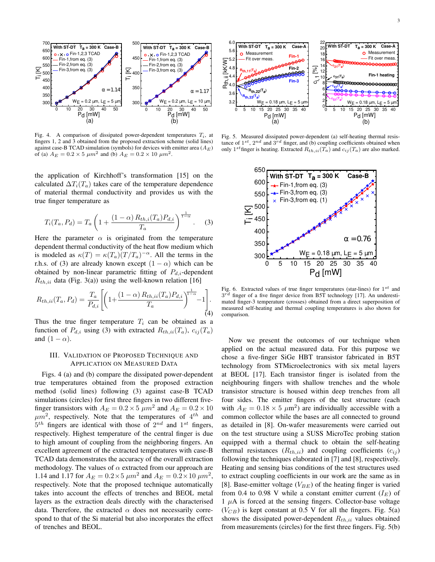

Fig. 4. A comparison of dissipated power-dependent temperatures  $T_i$ , at fingers 1, 2 and 3 obtained from the proposed extraction scheme (solid lines) against case-B TCAD simulation (symbols) for devices with emitter area  $(A_E)$ of (a)  $A_E = 0.2 \times 5 \mu m^2$  and (b)  $A_E = 0.2 \times 10 \mu m^2$ .

the application of Kirchhoff's transformation [15] on the calculated  $\Delta T_i(T_a)$  takes care of the temperature dependence of material thermal conductivity and provides us with the true finger temperature as

$$
T_i(T_a, P_d) = T_a \left( 1 + \frac{(1 - \alpha) R_{th,i}(T_a) P_{d,i}}{T_a} \right)^{\frac{1}{1 - \alpha}}.
$$
 (3)

Here the parameter  $\alpha$  is originated from the temperature dependent thermal conductivity of the heat flow medium which is modeled as  $\kappa(T) = \kappa(T_a)(T/T_a)^{-\alpha}$ . All the terms in the r.h.s. of (3) are already known except  $(1 - \alpha)$  which can be obtained by non-linear parametric fitting of  $P_{d,i}$ -dependent  $R_{th,ii}$  data (Fig. 3(a)) using the well-known relation [16]

$$
R_{th,ii}(T_a, P_d) = \frac{T_a}{P_{d,i}} \left[ \left( 1 + \frac{(1 - \alpha) R_{th,ii}(T_a) P_{d,i}}{T_a} \right)^{\frac{1}{1 - \alpha}} - 1 \right].
$$
\n(4)

Thus the true finger temperature  $T_i$  can be obtained as a function of  $P_{d,i}$  using (3) with extracted  $R_{th,ii}(T_a)$ ,  $c_{ij}(T_a)$ and  $(1 - \alpha)$ .

#### III. VALIDATION OF PROPOSED TECHNIQUE AND APPLICATION ON MEASURED DATA

Figs. 4 (a) and (b) compare the dissipated power-dependent true temperatures obtained from the proposed extraction method (solid lines) following (3) against case-B TCAD simulations (circles) for first three fingers in two different fivefinger transistors with  $A_E = 0.2 \times 5 \mu m^2$  and  $A_E = 0.2 \times 10$  $\mu m^2$ , respectively. Note that the temperatures of 4<sup>th</sup> and  $5<sup>th</sup>$  fingers are identical with those of  $2<sup>nd</sup>$  and  $1<sup>st</sup>$  fingers, respectively. Highest temperature of the central finger is due to high amount of coupling from the neighboring fingers. An excellent agreement of the extracted temperatures with case-B TCAD data demonstrates the accuracy of the overall extraction methodology. The values of  $\alpha$  extracted from our approach are 1.14 and 1.17 for  $A_E = 0.2 \times 5 \ \mu m^2$  and  $A_E = 0.2 \times 10 \ \mu m^2$ , respectively. Note that the proposed technique automatically takes into account the effects of trenches and BEOL metal layers as the extraction deals directly with the characterised data. Therefore, the extracted  $\alpha$  does not necessarily correspond to that of the Si material but also incorporates the effect of trenches and BEOL.



Fig. 5. Measured dissipated power-dependent (a) self-heating thermal resistance of  $1^{st}$ ,  $2^{nd}$  and  $3^{rd}$  finger, and (b) coupling coefficients obtained when only  $1^{st}$  finger is heating. Extracted  $R_{th,ii}(T_a)$  and  $c_{ij}(T_a)$  are also marked.



Fig. 6. Extracted values of true finger temperatures (star-lines) for  $1^{st}$  and 3 finger of a five finger device from B5T technology [17]. An underestimated finger-3 temperature (crosses) obtained from a direct superposition of measured self-heating and thermal coupling temperatures is also shown for comparison.

Now we present the outcomes of our technique when applied on the actual measured data. For this purpose we chose a five-finger SiGe HBT transistor fabricated in B5T technology from STMicroelectronics with six metal layers at BEOL [17]. Each transistor finger is isolated from the neighbouring fingers with shallow trenches and the whole transistor structure is housed within deep trenches from all four sides. The emitter fingers of the test structure (each with  $A_E = 0.18 \times 5 \mu m^2$  are individually accessible with a common collector while the bases are all connected to ground as detailed in [8]. On-wafer measurements were carried out on the test structure using a SUSS MicroTec probing station equipped with a thermal chuck to obtain the self-heating thermal resistances  $(R_{th,ii})$  and coupling coefficients  $(c_{ij})$ following the techniques elaborated in [7] and [8], respectively. Heating and sensing bias conditions of the test structures used to extract coupling coefficients in our work are the same as in [8]. Base-emitter voltage  $(V_{BE})$  of the heating finger is varied from 0.4 to 0.98 V while a constant emitter current  $(I_E)$  of  $1 \mu A$  is forced at the sensing fingers. Collector-base voltage  $(V_{CB})$  is kept constant at 0.5 V for all the fingers. Fig. 5(a) shows the dissipated power-dependent  $R_{th,ii}$  values obtained from measurements (circles) for the first three fingers. Fig. 5(b)